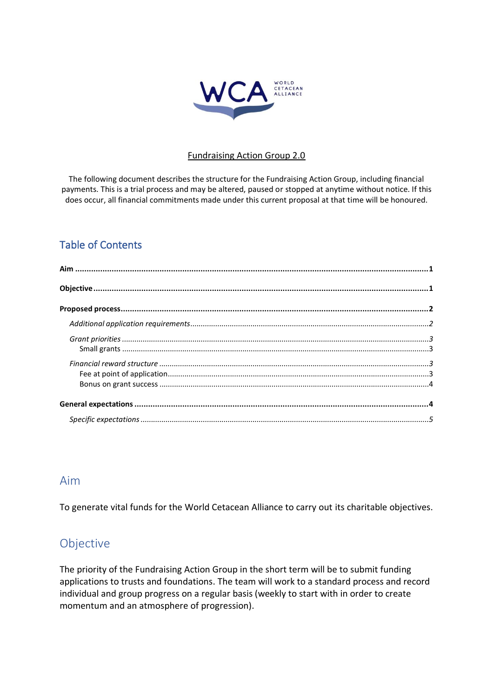

### Fundraising Action Group 2.0

The following document describes the structure for the Fundraising Action Group, including financial payments. This is a trial process and may be altered, paused or stopped at anytime without notice. If this does occur, all financial commitments made under this current proposal at that time will be honoured.

# Table of Contents

## <span id="page-0-0"></span>Aim

To generate vital funds for the World Cetacean Alliance to carry out its charitable objectives.

# <span id="page-0-1"></span>Objective

The priority of the Fundraising Action Group in the short term will be to submit funding applications to trusts and foundations. The team will work to a standard process and record individual and group progress on a regular basis (weekly to start with in order to create momentum and an atmosphere of progression).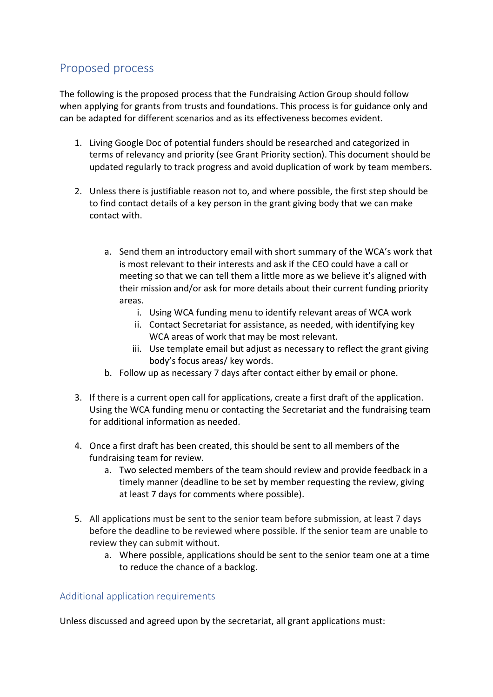# <span id="page-1-0"></span>Proposed process

The following is the proposed process that the Fundraising Action Group should follow when applying for grants from trusts and foundations. This process is for guidance only and can be adapted for different scenarios and as its effectiveness becomes evident.

- 1. Living Google Doc of potential funders should be researched and categorized in terms of relevancy and priority (see Grant Priority section). This document should be updated regularly to track progress and avoid duplication of work by team members.
- 2. Unless there is justifiable reason not to, and where possible, the first step should be to find contact details of a key person in the grant giving body that we can make contact with.
	- a. Send them an introductory email with short summary of the WCA's work that is most relevant to their interests and ask if the CEO could have a call or meeting so that we can tell them a little more as we believe it's aligned with their mission and/or ask for more details about their current funding priority areas.
		- i. Using WCA funding menu to identify relevant areas of WCA work
		- ii. Contact Secretariat for assistance, as needed, with identifying key WCA areas of work that may be most relevant.
		- iii. Use template email but adjust as necessary to reflect the grant giving body's focus areas/ key words.
	- b. Follow up as necessary 7 days after contact either by email or phone.
- 3. If there is a current open call for applications, create a first draft of the application. Using the WCA funding menu or contacting the Secretariat and the fundraising team for additional information as needed.
- 4. Once a first draft has been created, this should be sent to all members of the fundraising team for review.
	- a. Two selected members of the team should review and provide feedback in a timely manner (deadline to be set by member requesting the review, giving at least 7 days for comments where possible).
- 5. All applications must be sent to the senior team before submission, at least 7 days before the deadline to be reviewed where possible. If the senior team are unable to review they can submit without.
	- a. Where possible, applications should be sent to the senior team one at a time to reduce the chance of a backlog.

## <span id="page-1-1"></span>Additional application requirements

Unless discussed and agreed upon by the secretariat, all grant applications must: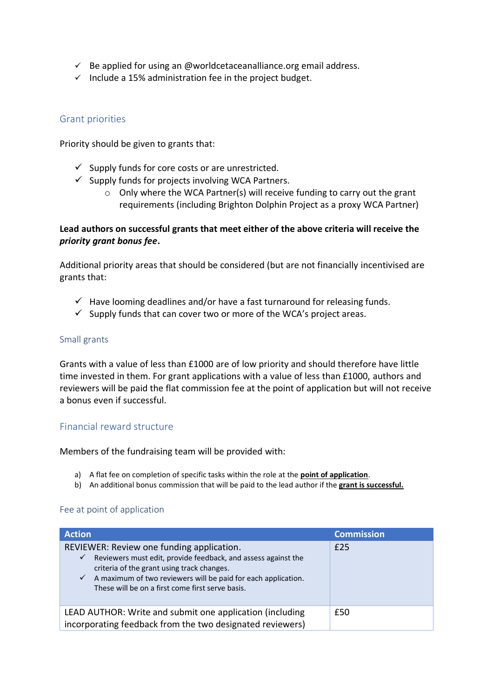- $\checkmark$  Be applied for using an @worldcetaceanalliance.org email address.
- $\checkmark$  Include a 15% administration fee in the project budget.

### <span id="page-2-0"></span>Grant priorities

Priority should be given to grants that:

- $\checkmark$  Supply funds for core costs or are unrestricted.
- $\checkmark$  Supply funds for projects involving WCA Partners.
	- $\circ$  Only where the WCA Partner(s) will receive funding to carry out the grant requirements (including Brighton Dolphin Project as a proxy WCA Partner)

#### **Lead authors on successful grants that meet either of the above criteria will receive the**  *priority grant bonus fee***.**

Additional priority areas that should be considered (but are not financially incentivised are grants that:

- $\checkmark$  Have looming deadlines and/or have a fast turnaround for releasing funds.
- $\checkmark$  Supply funds that can cover two or more of the WCA's project areas.

#### <span id="page-2-1"></span>Small grants

Grants with a value of less than £1000 are of low priority and should therefore have little time invested in them. For grant applications with a value of less than £1000, authors and reviewers will be paid the flat commission fee at the point of application but will not receive a bonus even if successful.

### <span id="page-2-2"></span>Financial reward structure

Members of the fundraising team will be provided with:

- a) A flat fee on completion of specific tasks within the role at the **point of application**.
- b) An additional bonus commission that will be paid to the lead author if the **grant is successful.**

#### <span id="page-2-3"></span>Fee at point of application

| <b>Action</b>                                                                                                                                                                                                                                                                                                 | <b>Commission</b> |
|---------------------------------------------------------------------------------------------------------------------------------------------------------------------------------------------------------------------------------------------------------------------------------------------------------------|-------------------|
| REVIEWER: Review one funding application.<br>Reviewers must edit, provide feedback, and assess against the<br>$\checkmark$<br>criteria of the grant using track changes.<br>A maximum of two reviewers will be paid for each application.<br>$\checkmark$<br>These will be on a first come first serve basis. | £25               |
| LEAD AUTHOR: Write and submit one application (including<br>incorporating feedback from the two designated reviewers)                                                                                                                                                                                         | £50               |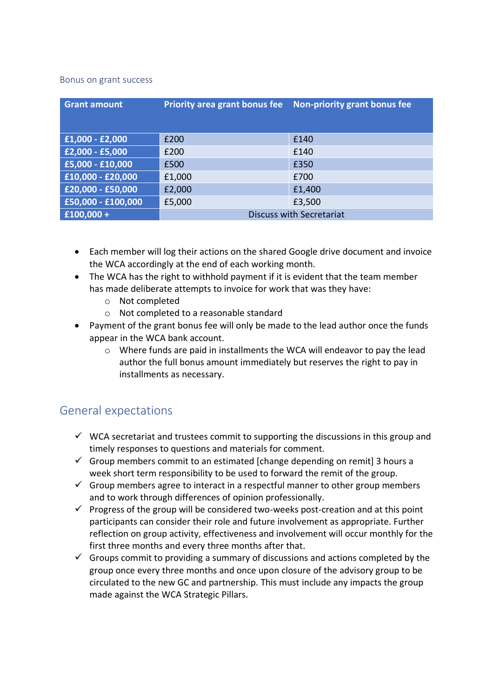#### <span id="page-3-0"></span>Bonus on grant success

| <b>Grant amount</b> | <b>Priority area grant bonus fee</b> | Non-priority grant bonus fee |
|---------------------|--------------------------------------|------------------------------|
| $£1,000 - £2,000$   | £200                                 | £140                         |
| £2,000 - £5,000     | £200                                 | £140                         |
| £5,000 - £10,000    | £500                                 | £350                         |
| £10,000 - £20,000   | £1,000                               | £700                         |
| £20,000 - £50,000   | £2,000                               | £1,400                       |
| £50,000 - £100,000  | £5,000                               | £3,500                       |
| $£100,000 +$        | <b>Discuss with Secretariat</b>      |                              |

- Each member will log their actions on the shared Google drive document and invoice the WCA accordingly at the end of each working month.
- The WCA has the right to withhold payment if it is evident that the team member has made deliberate attempts to invoice for work that was they have:
	- o Not completed
	- o Not completed to a reasonable standard
- Payment of the grant bonus fee will only be made to the lead author once the funds appear in the WCA bank account.
	- o Where funds are paid in installments the WCA will endeavor to pay the lead author the full bonus amount immediately but reserves the right to pay in installments as necessary.

# <span id="page-3-1"></span>General expectations

- $\checkmark$  WCA secretariat and trustees commit to supporting the discussions in this group and timely responses to questions and materials for comment.
- $\checkmark$  Group members commit to an estimated [change depending on remit] 3 hours a week short term responsibility to be used to forward the remit of the group.
- $\checkmark$  Group members agree to interact in a respectful manner to other group members and to work through differences of opinion professionally.
- $\checkmark$  Progress of the group will be considered two-weeks post-creation and at this point participants can consider their role and future involvement as appropriate. Further reflection on group activity, effectiveness and involvement will occur monthly for the first three months and every three months after that.
- $\checkmark$  Groups commit to providing a summary of discussions and actions completed by the group once every three months and once upon closure of the advisory group to be circulated to the new GC and partnership. This must include any impacts the group made against the WCA Strategic Pillars.